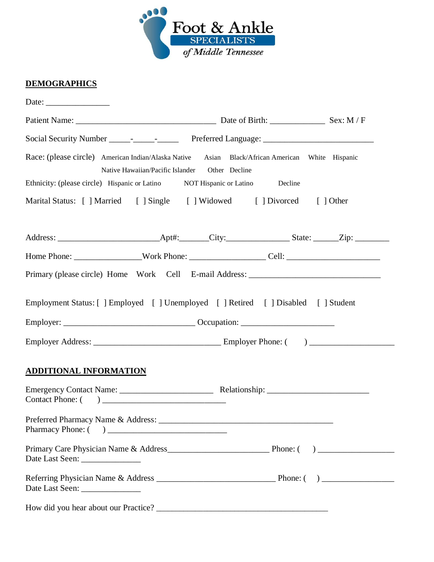

# **DEMOGRAPHICS**

|                                                                      | Race: (please circle) American Indian/Alaska Native Asian Black/African American White Hispanic<br>Native Hawaiian/Pacific Islander  Other Decline |  |
|----------------------------------------------------------------------|----------------------------------------------------------------------------------------------------------------------------------------------------|--|
| Ethnicity: (please circle) Hispanic or Latino NOT Hispanic or Latino | Decline                                                                                                                                            |  |
|                                                                      | Marital Status: [ ] Married [ ] Single [ ] Widowed [ ] Divorced [ ] Other                                                                          |  |
|                                                                      |                                                                                                                                                    |  |
|                                                                      |                                                                                                                                                    |  |
|                                                                      | Primary (please circle) Home Work Cell E-mail Address: __________________________                                                                  |  |
|                                                                      | Employment Status: [ ] Employed [ ] Unemployed [ ] Retired [ ] Disabled [ ] Student                                                                |  |
|                                                                      |                                                                                                                                                    |  |
|                                                                      |                                                                                                                                                    |  |
| <b>ADDITIONAL INFORMATION</b>                                        |                                                                                                                                                    |  |
| Contact Phone: ()                                                    |                                                                                                                                                    |  |
|                                                                      |                                                                                                                                                    |  |
|                                                                      |                                                                                                                                                    |  |
| Date Last Seen: ________________                                     |                                                                                                                                                    |  |
|                                                                      |                                                                                                                                                    |  |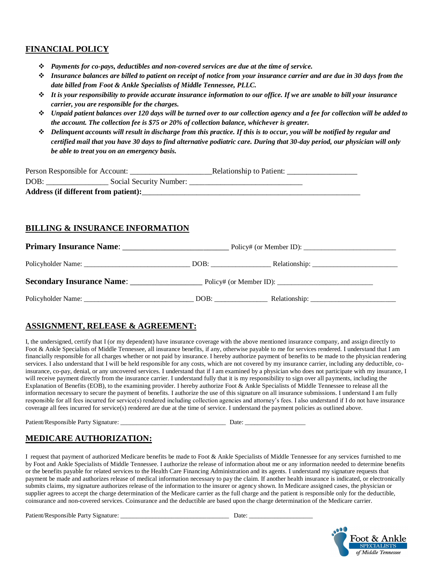# **FINANCIAL POLICY**

- ❖ *Payments for co-pays, deductibles and non-covered services are due at the time of service.*
- ❖ *Insurance balances are billed to patient on receipt of notice from your insurance carrier and are due in 30 days from the date billed from Foot & Ankle Specialists of Middle Tennessee, PLLC.*
- ❖ *It is your responsibility to provide accurate insurance information to our office. If we are unable to bill your insurance carrier, you are responsible for the charges.*
- ❖ *Unpaid patient balances over 120 days will be turned over to our collection agency and a fee for collection will be added to the account. The collection fee is \$75 or 20% of collection balance, whichever is greater.*
- ❖ *Delinquent accounts will result in discharge from this practice. If this is to occur, you will be notified by regular and certified mail that you have 30 days to find alternative podiatric care. During that 30-day period, our physician will only be able to treat you on an emergency basis.*

| Person Responsible for Account:      |                         | Relationship to Patient: |
|--------------------------------------|-------------------------|--------------------------|
| DOB:                                 | Social Security Number: |                          |
| Address (if different from patient): |                         |                          |

# **BILLING & INSURANCE INFORMATION**

|                                  |  | Policy# (or Member ID): $\_\_\_\_\_\_\_\_\_\_\_\_\_\_\_\_\_\_\_\_\_$ |  |
|----------------------------------|--|----------------------------------------------------------------------|--|
|                                  |  |                                                                      |  |
| <b>Secondary Insurance Name:</b> |  |                                                                      |  |
|                                  |  |                                                                      |  |

# **ASSIGNMENT, RELEASE & AGREEMENT:**

I, the undersigned, certify that I (or my dependent) have insurance coverage with the above mentioned insurance company, and assign directly to Foot & Ankle Specialists of Middle Tennessee, all insurance benefits, if any, otherwise payable to me for services rendered. I understand that I am financially responsible for all charges whether or not paid by insurance. I hereby authorize payment of benefits to be made to the physician rendering services. I also understand that I will be held responsible for any costs, which are not covered by my insurance carrier, including any deductible, coinsurance, co-pay, denial, or any uncovered services. I understand that if I am examined by a physician who does not participate with my insurance, I will receive payment directly from the insurance carrier. I understand fully that it is my responsibility to sign over all payments, including the Explanation of Benefits (EOB), to the examining provider. I hereby authorize Foot & Ankle Specialists of Middle Tennessee to release all the information necessary to secure the payment of benefits. I authorize the use of this signature on all insurance submissions. I understand I am fully responsible for all fees incurred for service(s) rendered including collection agencies and attorney's fees. I also understand if I do not have insurance coverage all fees incurred for service(s) rendered are due at the time of service. I understand the payment policies as outlined above.

Patient/Responsible Party Signature: \_\_\_\_\_\_\_\_\_\_\_\_\_\_\_\_\_\_\_\_\_\_\_\_\_\_\_\_\_\_\_\_\_ Date: \_\_\_\_\_\_\_\_\_\_\_\_\_\_\_\_\_\_\_

# **MEDICARE AUTHORIZATION:**

I request that payment of authorized Medicare benefits be made to Foot & Ankle Specialists of Middle Tennessee for any services furnished to me by Foot and Ankle Specialists of Middle Tennessee. I authorize the release of information about me or any information needed to determine benefits or the benefits payable for related services to the Health Care Financing Administration and its agents. I understand my signature requests that payment be made and authorizes release of medical information necessary to pay the claim. If another health insurance is indicated, or electronically submits claims, my signature authorizes release of the information to the insurer or agency shown. In Medicare assigned cases, the physician or supplier agrees to accept the charge determination of the Medicare carrier as the full charge and the patient is responsible only for the deductible, coinsurance and non-covered services. Coinsurance and the deductible are based upon the charge determination of the Medicare carrier.

Patient/Responsible Party Signature: \_\_\_\_\_\_\_\_\_\_\_\_\_\_\_\_\_\_\_\_\_\_\_\_\_\_\_\_\_\_\_\_\_\_ Date: \_\_\_\_\_\_\_\_\_\_\_\_\_\_\_\_\_\_\_\_

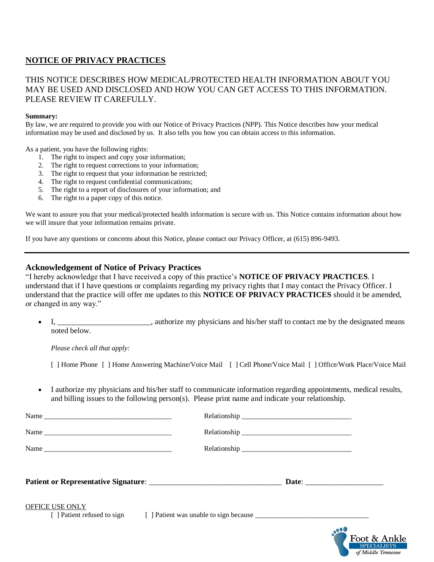# **NOTICE OF PRIVACY PRACTICES**

## THIS NOTICE DESCRIBES HOW MEDICAL/PROTECTED HEALTH INFORMATION ABOUT YOU MAY BE USED AND DISCLOSED AND HOW YOU CAN GET ACCESS TO THIS INFORMATION. PLEASE REVIEW IT CAREFULLY.

#### **Summary:**

By law, we are required to provide you with our Notice of Privacy Practices (NPP). This Notice describes how your medical information may be used and disclosed by us. It also tells you how you can obtain access to this information.

As a patient, you have the following rights:

- 1. The right to inspect and copy your information;
- 2. The right to request corrections to your information;
- 3. The right to request that your information be restricted;
- 4. The right to request confidential communications;
- 5. The right to a report of disclosures of your information; and
- 6. The right to a paper copy of this notice.

We want to assure you that your medical/protected health information is secure with us. This Notice contains information about how we will insure that your information remains private.

If you have any questions or concerns about this Notice, please contact our Privacy Officer, at (615) 896-9493.

## **Acknowledgement of Notice of Privacy Practices**

"I hereby acknowledge that I have received a copy of this practice's **NOTICE OF PRIVACY PRACTICES**. I understand that if I have questions or complaints regarding my privacy rights that I may contact the Privacy Officer. I understand that the practice will offer me updates to this **NOTICE OF PRIVACY PRACTICES** should it be amended, or changed in any way."

I, authorize my physicians and his/her staff to contact me by the designated means noted below.

*Please check all that apply:*

[ ] Home Phone [ ] Home Answering Machine/Voice Mail [ ] Cell Phone/Voice Mail [ ] Office/Work Place/Voice Mail

• I authorize my physicians and his/her staff to communicate information regarding appointments, medical results, and billing issues to the following person(s). Please print name and indicate your relationship.

| Name            |  |                       |
|-----------------|--|-----------------------|
|                 |  |                       |
|                 |  |                       |
| OFFICE USE ONLY |  | $\mathbf{r}$ $\alpha$ |

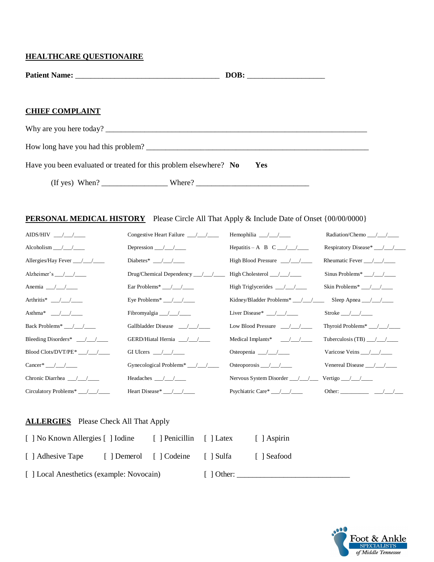### **HEALTHCARE QUESTIONAIRE**

| <b>CHIEF COMPLAINT</b>                                            |     |
|-------------------------------------------------------------------|-----|
|                                                                   |     |
| How long have you had this problem?                               |     |
| Have you been evaluated or treated for this problem elsewhere? No | Yes |
|                                                                   |     |

## **PERSONAL MEDICAL HISTORY** Please Circle All That Apply & Include Date of Onset {00/00/0000}

| AIDS/HIV $\frac{\ }{\ }$                   | Congestive Heart Failure $\frac{\sqrt{1-\frac{1}{2}}}{\sqrt{1-\frac{1}{2}}}$ | Hemophilia $\frac{\gamma}{\gamma}$                         | Radiation/Chemo $\frac{\pi}{\pi}$               |
|--------------------------------------------|------------------------------------------------------------------------------|------------------------------------------------------------|-------------------------------------------------|
| Alcoholism $\frac{\pi}{\pi}$               | Depression $\frac{\ }{\ }$                                                   |                                                            |                                                 |
| Allergies/Hay Fever $\frac{\ }{\ }$        | Diabetes* $\frac{1}{\sqrt{2}}$                                               | High Blood Pressure $\frac{\sqrt{1-\sqrt{1-\lambda^2}}}{}$ |                                                 |
| Alzheimer's $\frac{\ }{\ }$                | $Drug/Chemical Dependercy$ / $/$ High Cholesterol / /                        |                                                            | Sinus Problems* $\frac{\sqrt{2}}{2}$            |
| Anemia $\angle$                            | Ear Problems* $/$ /                                                          | High Triglycerides $\frac{\ }{\ }$                         | Skin Problems* $\_\/\_\/\_\$                    |
| Arthritis* $/$                             | Eye Problems* $\angle$                                                       | Kidney/Bladder Problems* $\frac{1}{\sqrt{2}}$              | Sleep Apnea $\frac{1}{\sqrt{2}}$                |
| Asthma* $/$ /                              | Fibromyalgia $/$ /                                                           | Liver Disease* $\frac{1}{\sqrt{2}}$                        | Stroke $\frac{1}{\sqrt{2}}$                     |
|                                            | Gallbladder Disease $\frac{\sqrt{1-\sqrt{1-\lambda^2}}}{}$                   | Low Blood Pressure / /                                     |                                                 |
|                                            | GERD/Hiatal Hernia / /                                                       | Medical Implants* $\frac{1}{\sqrt{2}}$                     | Tuberculosis (TB) $\_\_\_\_\_\_\_\_\_\_\_\_\_\$ |
|                                            | GI Ulcers $\frac{1}{\sqrt{2}}$                                               | Osteopenia $\frac{\sqrt{1-\lambda}}{\sqrt{1-\lambda}}$     | Varicose Veins $\_\_\_\_\_\_\_\_\_\_\_\$        |
| Cancer* / /                                | Gynecological Problems* $\frac{\sqrt{1-\sqrt{1-\cdots}}}{}$                  | Osteoporosis $\_\_\_\_\_\_\_\_\_\_\$                       | Venereal Disease $\frac{1}{\sqrt{2}}$           |
| Chronic Diarrhea $\frac{1}{\sqrt{2}}$      | Headaches $\frac{\sqrt{1-\frac{1}{2}}}{\sqrt{1-\frac{1}{2}}}$                |                                                            |                                                 |
| Circulatory Problems* $\frac{1}{\sqrt{2}}$ | Heart Disease* $\frac{1}{2}$                                                 | Psychiatric Care* $\frac{1}{\sqrt{2}}$                     | Other: $\frac{1}{\sqrt{1-\frac{1}{2}}}$         |

## **ALLERGIES** Please Check All That Apply

| [ ] No Known Allergies [ ] Iodine         |                         | [ Penicillin [ ] Latex |                   | $\lceil \cdot \rceil$ Aspirin |
|-------------------------------------------|-------------------------|------------------------|-------------------|-------------------------------|
| [ ] Adhesive Tape                         | [ ] Demerol [ ] Codeine |                        | I 1 Sulfa         | [ Seafood                     |
| [ ] Local Anesthetics (example: Novocain) |                         |                        | $\lceil$ 1 Other: |                               |

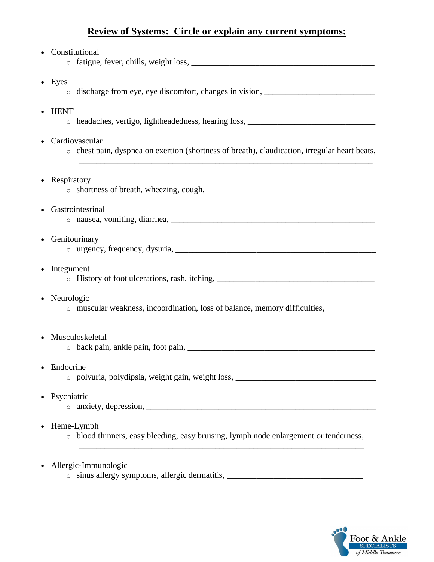# **Review of Systems: Circle or explain any current symptoms:**

| Constitutional                                                                                                  |
|-----------------------------------------------------------------------------------------------------------------|
| $\bullet$ Eyes<br>discharge from eye, eye discomfort, changes in vision, __________________________<br>$\circ$  |
| • HENT<br>headaches, vertigo, lightheadedness, hearing loss, _____________________________<br>$\circ$           |
| • Cardiovascular<br>chest pain, dyspnea on exertion (shortness of breath), claudication, irregular heart beats, |
| • Respiratory                                                                                                   |
| Gastrointestinal                                                                                                |
| • Genitourinary                                                                                                 |
| • Integument<br>• History of foot ulcerations, rash, itching, __________________________________                |
| • Neurologic<br>o muscular weakness, incoordination, loss of balance, memory difficulties,                      |
| • Musculoskeletal<br>$\circ$                                                                                    |
| Endocrine<br>o polyuria, polydipsia, weight gain, weight loss, ______________________________                   |
| Psychiatric                                                                                                     |
| Heme-Lymph<br>o blood thinners, easy bleeding, easy bruising, lymph node enlargement or tenderness,             |

- Allergic-Immunologic
	- o sinus allergy symptoms, allergic dermatitis, \_\_\_\_\_\_\_\_\_\_\_\_\_\_\_\_\_\_\_\_\_\_\_\_\_\_\_\_\_\_\_\_

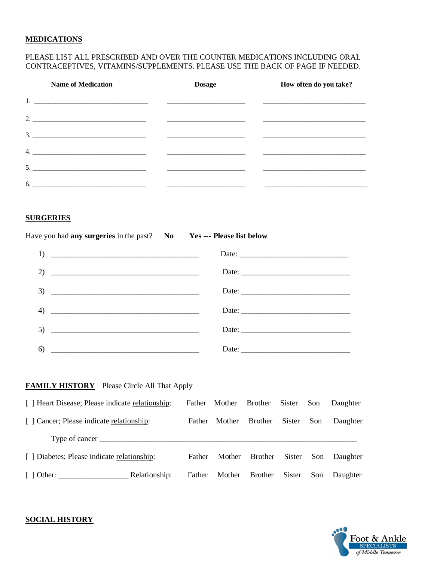## **MEDICATIONS**

### PLEASE LIST ALL PRESCRIBED AND OVER THE COUNTER MEDICATIONS INCLUDING ORAL CONTRACEPTIVES, VITAMINS/SUPPLEMENTS. PLEASE USE THE BACK OF PAGE IF NEEDED.

| <b>Name of Medication</b> | <b>Dosage</b> | How often do you take? |
|---------------------------|---------------|------------------------|
|                           |               |                        |
|                           |               |                        |
|                           |               |                        |
| 4.                        |               |                        |
|                           |               |                        |
| 6.                        |               |                        |

### **SURGERIES**

Have you had **any surgeries** in the past? **No Yes --- Please list below**

|                               | Date: $\frac{1}{\sqrt{1-\frac{1}{2}}\sqrt{1-\frac{1}{2}}\sqrt{1-\frac{1}{2}}\sqrt{1-\frac{1}{2}}\sqrt{1-\frac{1}{2}}\sqrt{1-\frac{1}{2}}\sqrt{1-\frac{1}{2}}\sqrt{1-\frac{1}{2}}\sqrt{1-\frac{1}{2}}\sqrt{1-\frac{1}{2}}\sqrt{1-\frac{1}{2}}\sqrt{1-\frac{1}{2}}\sqrt{1-\frac{1}{2}}\sqrt{1-\frac{1}{2}}\sqrt{1-\frac{1}{2}}\sqrt{1-\frac{1}{2}}\sqrt{1-\frac{1}{2}}\sqrt{1-\frac{1}{2}}\sqrt{1-\frac{1}{2}}$ |
|-------------------------------|---------------------------------------------------------------------------------------------------------------------------------------------------------------------------------------------------------------------------------------------------------------------------------------------------------------------------------------------------------------------------------------------------------------|
| 2) $\frac{1}{2}$              |                                                                                                                                                                                                                                                                                                                                                                                                               |
|                               | Date:                                                                                                                                                                                                                                                                                                                                                                                                         |
|                               | Date:                                                                                                                                                                                                                                                                                                                                                                                                         |
| $5)$ $\overline{\phantom{0}}$ |                                                                                                                                                                                                                                                                                                                                                                                                               |
| 6)                            |                                                                                                                                                                                                                                                                                                                                                                                                               |

## **FAMILY HISTORY** Please Circle All That Apply

| [ ] Heart Disease; Please indicate relationship: |               | Father | Mother Brother |                | Sister | Son | Daughter     |
|--------------------------------------------------|---------------|--------|----------------|----------------|--------|-----|--------------|
| [ ] Cancer; Please indicate relationship:        |               | Father | Mother         | <b>Brother</b> | Sister | Son | Daughter     |
| Type of cancer                                   |               |        |                |                |        |     |              |
| [ ] Diabetes; Please indicate relationship:      |               | Father | Mother         | Brother        | Sister |     | Son Daughter |
| $\lceil$ 1 Other:                                | Relationship: | Father | Mother         | Brother        | Sister | Son | Daughter     |



## **SOCIAL HISTORY**